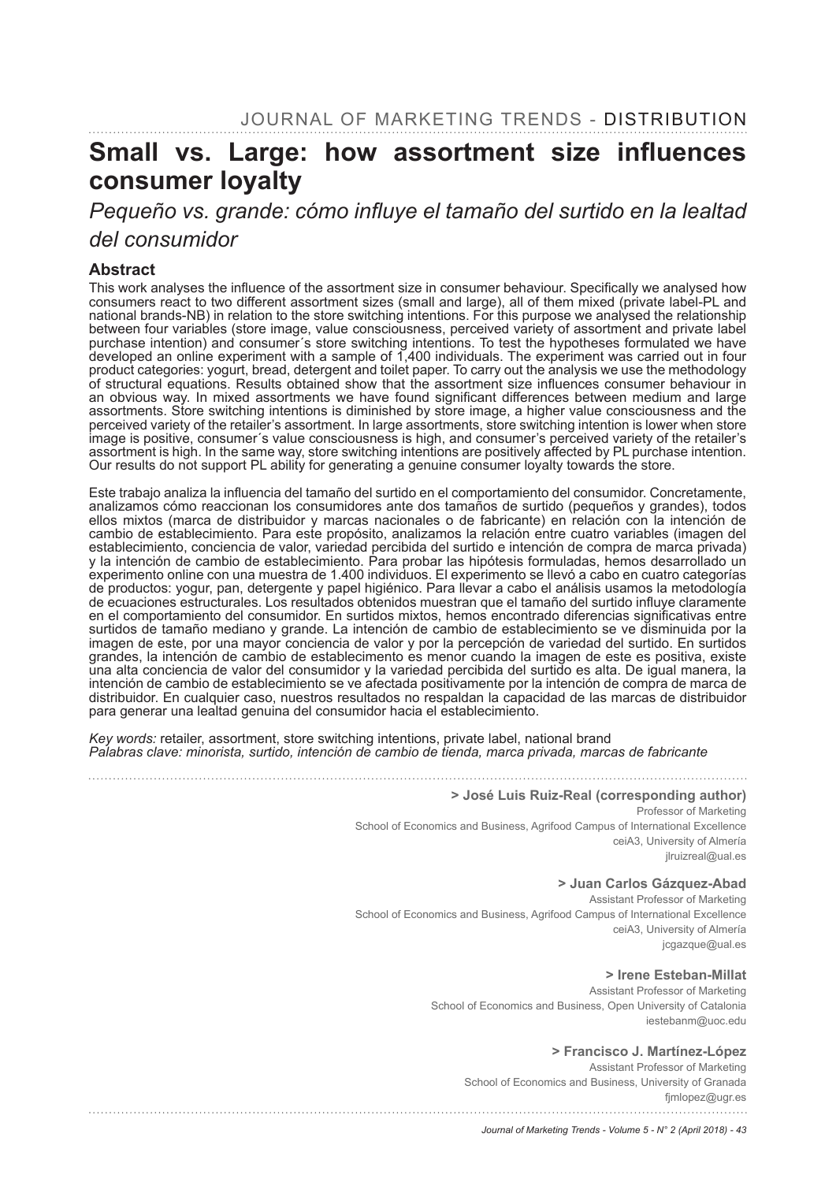# Small vs. Large: how assortment size influences **consumer loyalty**

# Pequeño vs. grande: cómo influye el tamaño del surtido en la lealtad *del consumidor*

#### **Abstract**

This work analyses the influence of the assortment size in consumer behaviour. Specifically we analysed how consumers react to two different assortment sizes (small and large), all of them mixed (private label-PL and national brands-NB) in relation to the store switching intentions. For this purpose we analysed the relationship between four variables (store image, value consciousness, perceived variety of assortment and private label purchase intention) and consumer´s store switching intentions. To test the hypotheses formulated we have developed an online experiment with a sample of 1,400 individuals. The experiment was carried out in four product categories: yogurt, bread, detergent and toilet paper. To carry out the analysis we use the methodology of structural equations. Results obtained show that the assortment size influences consumer behaviour in an obvious way. In mixed assortments we have found significant differences between medium and large assortments. Store switching intentions is diminished by store image, a higher value consciousness and the perceived variety of the retailer's assortment. In large assortments, store switching intention is lower when store image is positive, consumer´s value consciousness is high, and consumer's perceived variety of the retailer's assortment is high. In the same way, store switching intentions are positively affected by PL purchase intention. Our results do not support PL ability for generating a genuine consumer loyalty towards the store.

Este trabajo analiza la influencia del tamaño del surtido en el comportamiento del consumidor. Concretamente, analizamos cómo reaccionan los consumidores ante dos tamaños de surtido (pequeños y grandes), todos ellos mixtos (marca de distribuidor y marcas nacionales o de fabricante) en relación con la intención de cambio de establecimiento. Para este propósito, analizamos la relación entre cuatro variables (imagen del establecimiento, conciencia de valor, variedad percibida del surtido e intención de compra de marca privada) y la intención de cambio de establecimiento. Para probar las hipótesis formuladas, hemos desarrollado un experimento online con una muestra de 1.400 individuos. El experimento se llevó a cabo en cuatro categorías de productos: yogur, pan, detergente y papel higiénico. Para llevar a cabo el análisis usamos la metodología de ecuaciones estructurales. Los resultados obtenidos muestran que el tamaño del surtido influye claramente en el comportamiento del consumidor. En surtidos mixtos, hemos encontrado diferencias significativas entre surtidos de tamaño mediano y grande. La intención de cambio de establecimiento se ve disminuida por la imagen de este, por una mayor conciencia de valor y por la percepción de variedad del surtido. En surtidos grandes, la intención de cambio de establecimento es menor cuando la imagen de este es positiva, existe una alta conciencia de valor del consumidor y la variedad percibida del surtido es alta. De igual manera, la intención de cambio de establecimiento se ve afectada positivamente por la intención de compra de marca de distribuidor. En cualquier caso, nuestros resultados no respaldan la capacidad de las marcas de distribuidor para generar una lealtad genuina del consumidor hacia el establecimiento.

*Key words:* retailer, assortment, store switching intentions, private label, national brand *Palabras clave: minorista, surtido, intención de cambio de tienda, marca privada, marcas de fabricante*

#### **> José Luis Ruiz-Real (corresponding author)**

Professor of Marketing School of Economics and Business, Agrifood Campus of International Excellence ceiA3, University of Almería jlruizreal@ual.es

#### **> Juan Carlos Gázquez-Abad**

Assistant Professor of Marketing School of Economics and Business, Agrifood Campus of International Excellence ceiA3, University of Almería jcgazque@ual.es

#### **> Irene Esteban-Millat**

Assistant Professor of Marketing School of Economics and Business, Open University of Catalonia iestebanm@uoc.edu

#### **> Francisco J. Martínez-López**

Assistant Professor of Marketing School of Economics and Business, University of Granada fjmlopez@ugr.es

*Journal of Marketing Trends - Volume 5 - N° 2 (April 2018) - 43*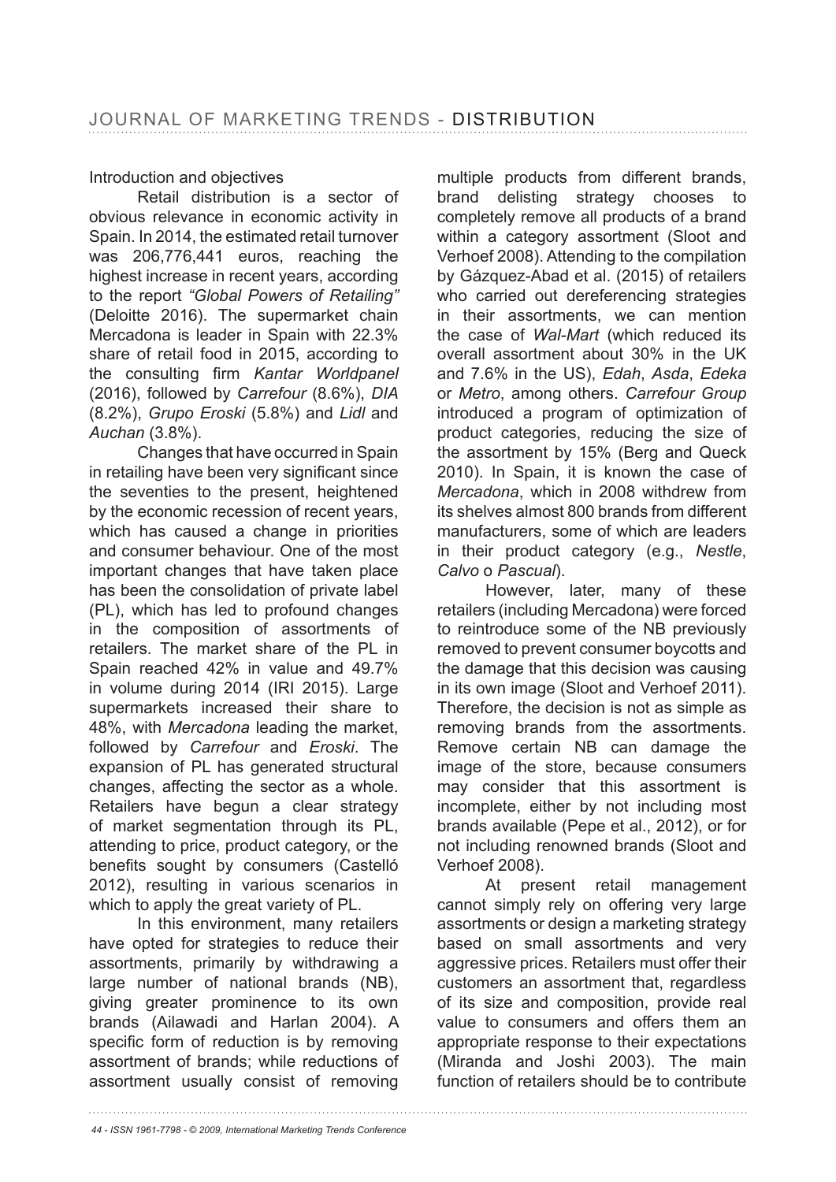## Introduction and objectives

Retail distribution is a sector of obvious relevance in economic activity in Spain. In 2014, the estimated retail turnover was  $206.776.441$  euros, reaching the highest increase in recent years, according to the report *"Global Powers of Retailing"* (Deloitte 2016). The supermarket chain Mercadona is leader in Spain with 22.3% share of retail food in 2015, according to the consulting firm Kantar Worldpanel (2016), followed by *Carrefour DIA*  $(8.2\%)$ , *Grupo Eroski* (5.8%) and Lidl and *Auchan* 

Changes that have occurred in Spain in retailing have been very significant since the seventies to the present, heightened by the economic recession of recent years, which has caused a change in priorities and consumer behaviour. One of the most important changes that have taken place has been the consolidation of private label (PL), which has led to profound changes in the composition of assortments of retailers. The market share of the PL in Spain reached  $42\%$  in value and  $49.7\%$ in volume during 2014 (IRI 2015). Large supermarkets increased their share to 48%, with Mercadona leading the market, followed by *Carrefour* and *Eroski*. The expansion of PL has generated structural changes, affecting the sector as a whole. Retailers have begun a clear strategy of market segmentation through its PL, attending to price, product category, or the benefits sought by consumers (Castelló 2012), resulting in various scenarios in which to apply the great variety of PL.

In this environment, many retailers have opted for strategies to reduce their assortments, primarily by withdrawing a large number of national brands (NB), giving greater prominence to its own brands (Ailawadi and Harlan 2004). A specific form of reduction is by removing assortment of brands; while reductions of assortment usually consist of removing

multiple products from different brands, brand delisting strategy chooses to completely remove all products of a brand within a category assortment (Sloot and Verhoef 2008). Attending to the compilation by Gázquez-Abad et al. (2015) of retailers who carried out dereferencing strategies in their assortments, we can mention the case of *Wal-Mart* (which reduced its overall assortment about 30% in the UK and 7.6% in the US), *Edah*, *Asda*, *Edeka* or *Metro*, among others. *Carrefour Group*  introduced a program of optimization of product categories, reducing the size of the assortment by 15% (Berg and Queck 2010). In Spain, it is known the case of *Mercadona*, which in 2008 withdrew from its shelves almost 800 brands from different manufacturers, some of which are leaders in their product category (e.g., *Nestle*, *Calvo* o *Pascual*).

However, later, many of these retailers (including Mercadona) were forced to reintroduce some of the NB previously removed to prevent consumer boycotts and the damage that this decision was causing in its own image (Sloot and Verhoef 2011). Therefore, the decision is not as simple as removing brands from the assortments. Remove certain NB can damage the image of the store, because consumers may consider that this assortment is incomplete, either by not including most brands available (Pepe et al., 2012), or for not including renowned brands (Sloot and Verhoef 2008).

At present retail management cannot simply rely on offering very large assortments or design a marketing strategy based on small assortments and very aggressive prices. Retailers must offer their customers an assortment that, regardless of its size and composition, provide real value to consumers and offers them an appropriate response to their expectations (Miranda and Joshi 2003). The main function of retailers should be to contribute

*44 - ISSN 1961-7798 - © 2009, International Marketing Trends Conference*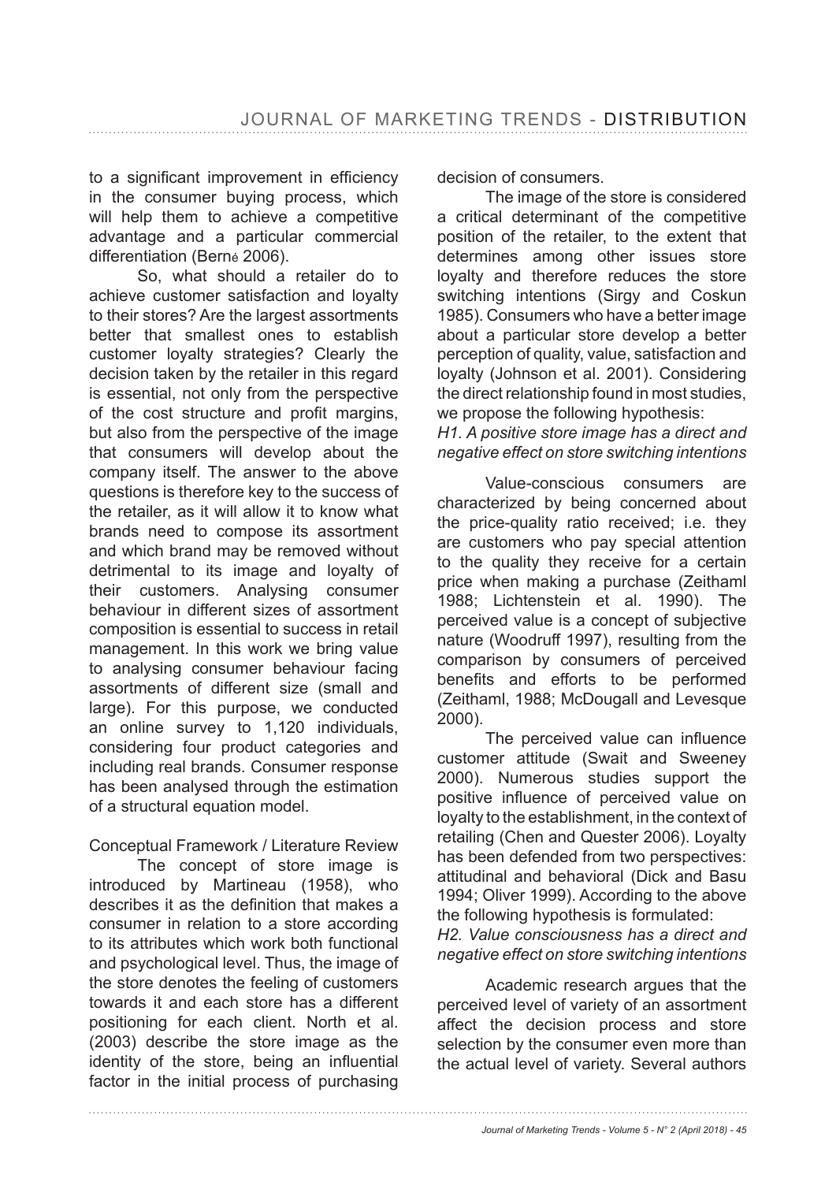to a significant improvement in efficiency in the consumer buying process, which will help them to achieve a competitive advantage and a particular commercial differentiation (Berné 2006).

So, what should a retailer do to achieve customer satisfaction and loyalty to their stores? Are the largest assortments better that smallest ones to establish customer loyalty strategies? Clearly the decision taken by the retailer in this regard is essential, not only from the perspective of the cost structure and profit margins. but also from the perspective of the image that consumers will develop about the company itself. The answer to the above questions is therefore key to the success of the retailer, as it will allow it to know what brands need to compose its assortment and which brand may be removed without detrimental to its image and loyalty of their customers. Analysing consumer behaviour in different sizes of assortment composition is essential to success in retail management. In this work we bring value to analysing consumer behaviour facing assortments of different size (small and large). For this purpose, we conducted an online survey to 1,120 individuals, considering four product categories and including real brands. Consumer response has been analysed through the estimation of a structural equation model.

#### Conceptual Framework / Literature Review

The concept of store image is introduced by Martineau (1958), who describes it as the definition that makes a consumer in relation to a store according to its attributes which work both functional and psychological level. Thus, the image of the store denotes the feeling of customers towards it and each store has a different positioning for each client. North et al. (2003) describe the store image as the identity of the store, being an influential factor in the initial process of purchasing

decision of consumers.

The image of the store is considered a critical determinant of the competitive position of the retailer, to the extent that determines among other issues store loyalty and therefore reduces the store switching intentions (Sirgy and Coskun 1985). Consumers who have a better image about a particular store develop a better perception of quality, value, satisfaction and loyalty (Johnson et al. 2001). Considering the direct relationship found in most studies, we propose the following hypothesis:

*H1. A positive store image has a direct and negative effect on store switching intentions*

Value-conscious consumers are characterized by being concerned about the price-quality ratio received; i.e. they are customers who pay special attention to the quality they receive for a certain price when making a purchase (Zeithaml 1988; Lichtenstein et al. 1990). The perceived value is a concept of subjective nature (Woodruff 1997), resulting from the comparison by consumers of perceived benefits and efforts to be performed (Zeithaml, 1988; McDougall and Levesque 2000).

The perceived value can influence customer attitude (Swait and Sweeney 2000). Numerous studies support the positive influence of perceived value on loyalty to the establishment, in the context of retailing (Chen and Quester 2006). Loyalty has been defended from two perspectives: attitudinal and behavioral (Dick and Basu 1994; Oliver 1999). According to the above the following hypothesis is formulated:

*H2. Value consciousness has a direct and negative effect on store switching intentions*

Academic research argues that the perceived level of variety of an assortment affect the decision process and store selection by the consumer even more than the actual level of variety. Several authors

*Journal of Marketing Trends - Volume 5 - N° 2 (April 2018) - 45*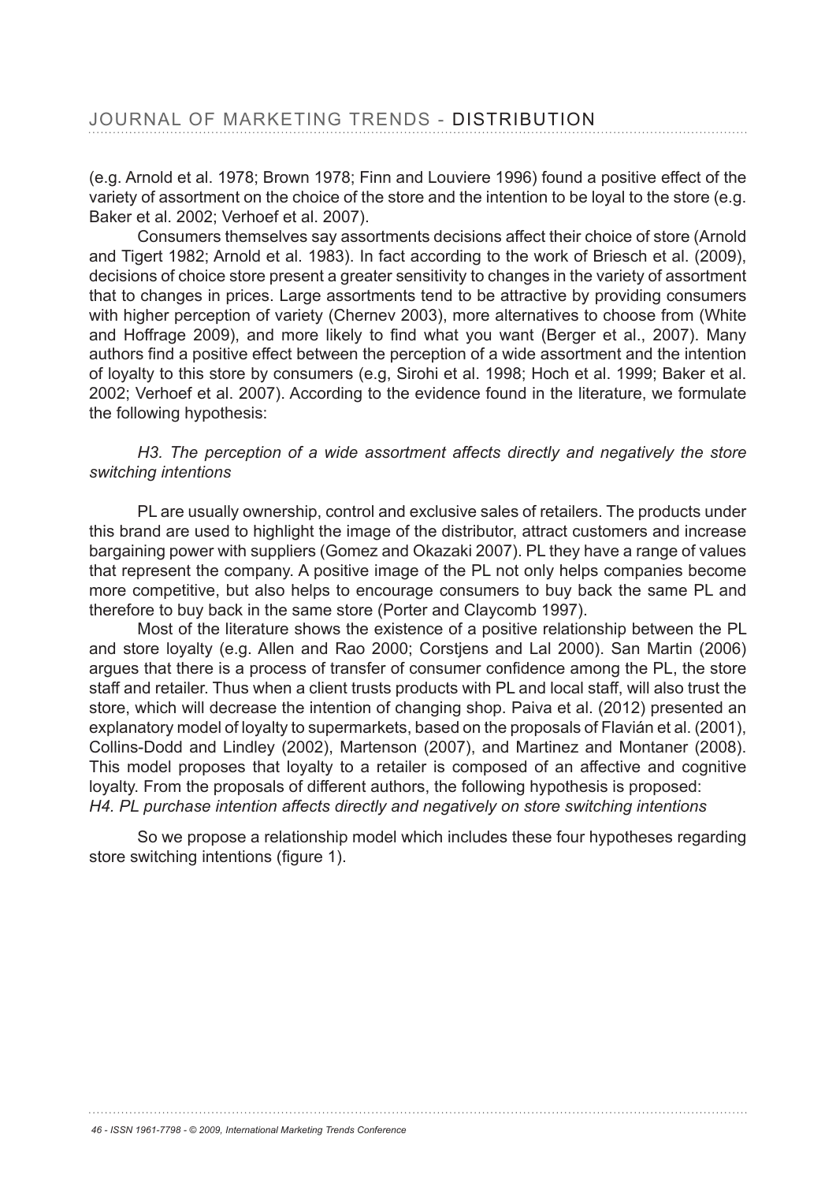(e.g. Arnold et al. 1978; Brown 1978; Finn and Louviere 1996) found a positive effect of the variety of assortment on the choice of the store and the intention to be loyal to the store (e.g. Baker et al. 2002: Verhoef et al. 2007).

Consumers themselves say assortments decisions affect their choice of store (Arnold and Tigert 1982; Arnold et al. 1983). In fact according to the work of Briesch et al. (2009), decisions of choice store present a greater sensitivity to changes in the variety of assortment that to changes in prices. Large assortments tend to be attractive by providing consumers with higher perception of variety (Chernev 2003), more alternatives to choose from (White and Hoffrage 2009), and more likely to find what you want (Berger et al., 2007). Many authors find a positive effect between the perception of a wide assortment and the intention of loyalty to this store by consumers (e.g, Sirohi et al. 1998; Hoch et al. 1999; Baker et al. 2002: Verhoef et al. 2007). According to the evidence found in the literature, we formulate the following hypothesis:

### *H3. The perception of a wide assortment affects directly and negatively the store switching intentions*

PL are usually ownership, control and exclusive sales of retailers. The products under this brand are used to highlight the image of the distributor, attract customers and increase bargaining power with suppliers (Gomez and Okazaki 2007). PL they have a range of values that represent the company. A positive image of the PL not only helps companies become more competitive, but also helps to encourage consumers to buy back the same PL and therefore to buy back in the same store (Porter and Claycomb 1997).

Most of the literature shows the existence of a positive relationship between the PL and store loyalty (e.g. Allen and Rao 2000; Corstjens and Lal 2000). San Martin (2006) arques that there is a process of transfer of consumer confidence among the PL, the store staff and retailer. Thus when a client trusts products with PL and local staff, will also trust the store, which will decrease the intention of changing shop. Paiva et al. (2012) presented an explanatory model of loyalty to supermarkets, based on the proposals of Flavián et al. (2001), Collins-Dodd and Lindley (2002), Martenson (2007), and Martinez and Montaner (2008). This model proposes that loyalty to a retailer is composed of an affective and cognitive loyalty. From the proposals of different authors, the following hypothesis is proposed: *H4. PL purchase intention affects directly and negatively on store switching intentions*

So we propose a relationship model which includes these four hypotheses regarding store switching intentions (figure 1).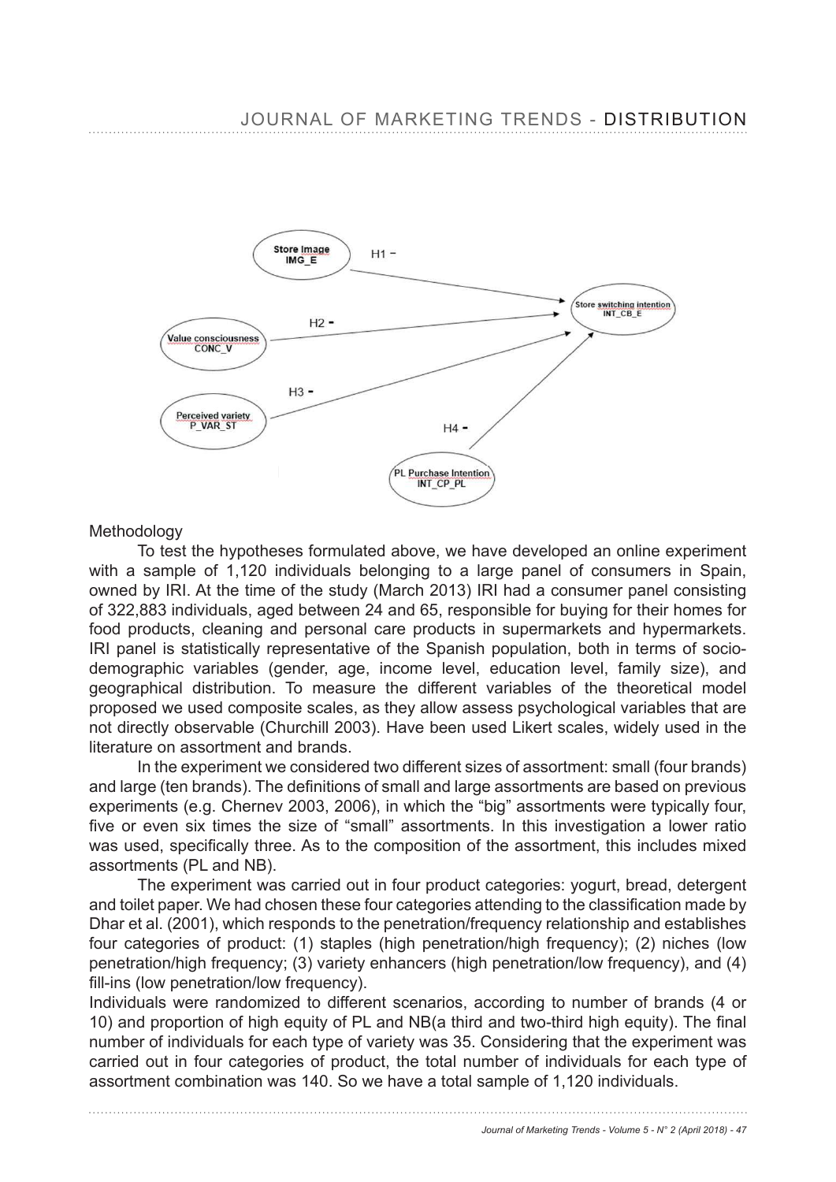

#### **Methodology**

 To test the hypotheses formulated above, we have developed an online experiment with a sample of 1,120 individuals belonging to a large panel of consumers in Spain, owned by IRI. At the time of the study (March 2013) IRI had a consumer panel consisting of 322,883 individuals, aged between 24 and 65, responsible for buying for their homes for food products, cleaning and personal care products in supermarkets and hypermarkets. IRI panel is statistically representative of the Spanish population, both in terms of sociodemographic variables (gender, age, income level, education level, family size), and geographical distribution. To measure the different variables of the theoretical model proposed we used composite scales, as they allow assess psychological variables that are not directly observable (Churchill 2003). Have been used Likert scales, widely used in the literature on assortment and brands.

In the experiment we considered two different sizes of assortment: small (four brands) and large (ten brands). The definitions of small and large assortments are based on previous experiments (e.g. Chernev 2003, 2006), in which the "big" assortments were typically four, five or even six times the size of "small" assortments. In this investigation a lower ratio was used, specifically three. As to the composition of the assortment, this includes mixed assortments (PL and NB).

The experiment was carried out in four product categories: yogurt, bread, detergent and toilet paper. We had chosen these four categories attending to the classification made by Dhar et al. (2001), which responds to the penetration/frequency relationship and establishes four categories of product: (1) staples (high penetration/high frequency); (2) niches (low penetration/high frequency; (3) variety enhancers (high penetration/low frequency), and (4) fill-ins (low penetration/low frequency).

Individuals were randomized to different scenarios, according to number of brands (4 or 10) and proportion of high equity of PL and NB(a third and two-third high equity). The final number of individuals for each type of variety was 35. Considering that the experiment was carried out in four categories of product, the total number of individuals for each type of assortment combination was 140. So we have a total sample of 1,120 individuals.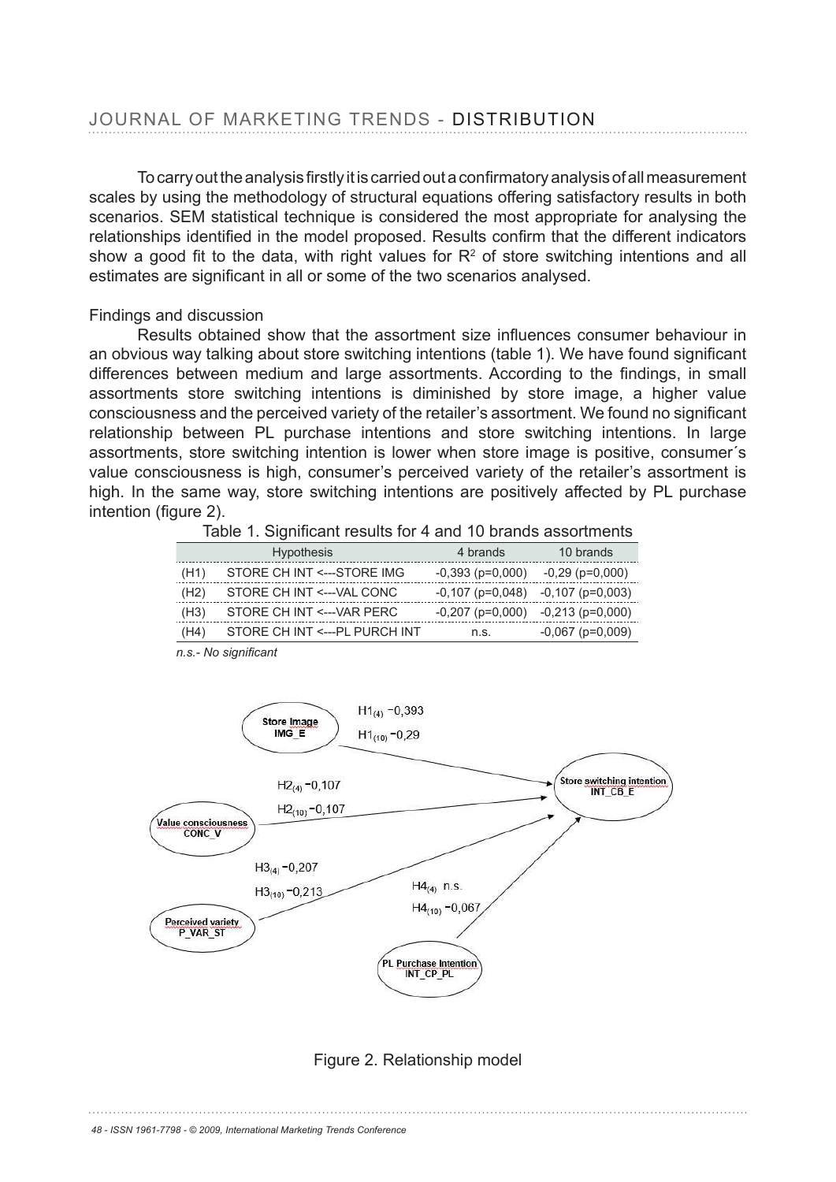To carry out the analysis firstly it is carried out a confirmatory analysis of all measurement scales by using the methodology of structural equations offering satisfactory results in both scenarios. SEM statistical technique is considered the most appropriate for analysing the relationships identified in the model proposed. Results confirm that the different indicators show a good fit to the data, with right values for  $R<sup>2</sup>$  of store switching intentions and all estimates are significant in all or some of the two scenarios analysed.

#### Findings and discussion

Results obtained show that the assortment size influences consumer behaviour in an obvious way talking about store switching intentions (table 1). We have found significant differences between medium and large assortments. According to the findings, in small assortments store switching intentions is diminished by store image, a higher value consciousness and the perceived variety of the retailer's assortment. We found no significant relationship between PL purchase intentions and store switching intentions. In large assortments, store switching intention is lower when store image is positive, consumer´s value consciousness is high, consumer's perceived variety of the retailer's assortment is high. In the same way, store switching intentions are positively affected by PL purchase intention (figure  $2$ ).

|      | <b>Hypothesis</b>              | 4 brands               | 10 brands              |
|------|--------------------------------|------------------------|------------------------|
| (H1) | STORE CH INT <---STORE IMG     | $-0.393$ ( $p=0.000$ ) | $-0,29$ ( $p=0,000$ )  |
| (H2) | STORE CH INT <--- VAL CONC     | $-0.107$ (p=0.048)     | $-0,107$ (p=0,003)     |
| (H3) | STORE CH INT <--- VAR PERC     | $-0,207$ (p=0,000)     | $-0,213$ ( $p=0,000$ ) |
| (H4) | STORE CH INT <--- PL PURCH INT | n.s.                   | $-0,067$ (p=0,009)     |

n.s.- No significant



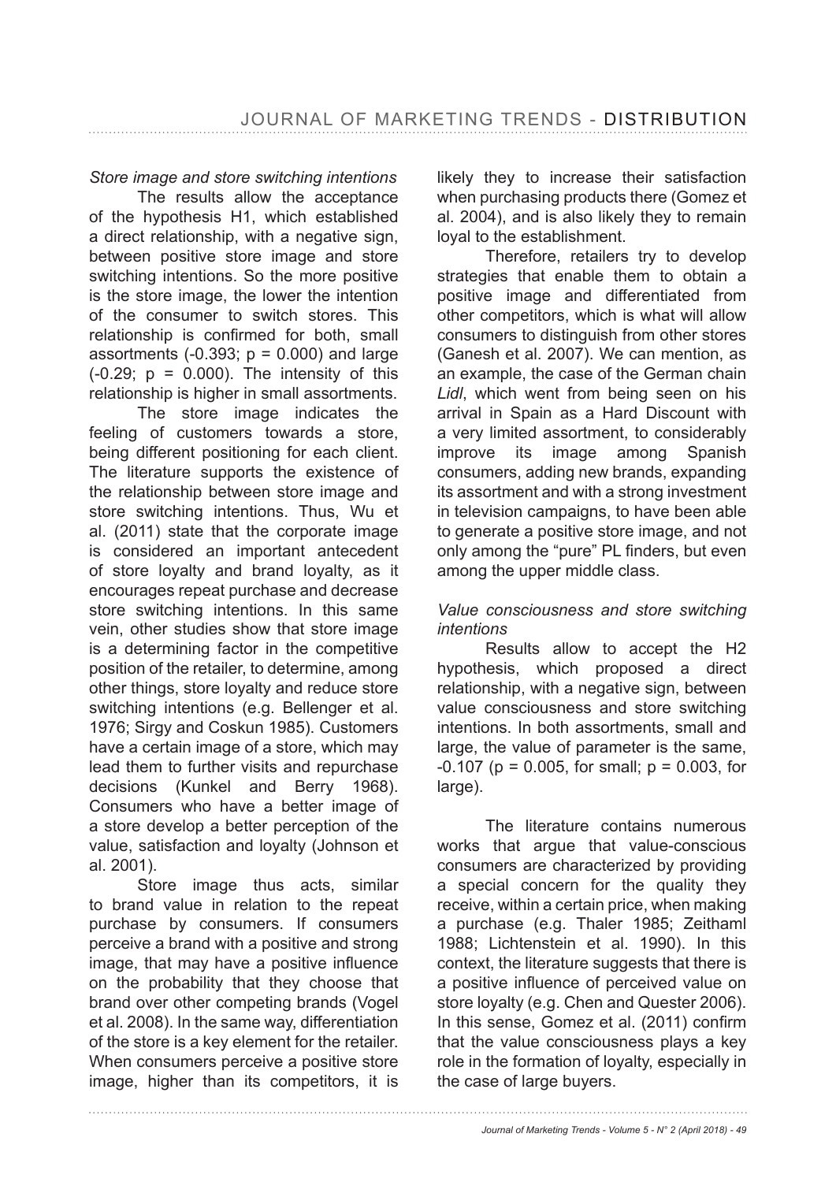*Store image and store switching intentions*

The results allow the acceptance of the hypothesis H1, which established a direct relationship, with a negative sign, between positive store image and store switching intentions. So the more positive is the store image, the lower the intention of the consumer to switch stores. This relationship is confirmed for both, small assortments  $(-0.393; p = 0.000)$  and large  $(-0.29; p = 0.000)$ . The intensity of this relationship is higher in small assortments.

The store image indicates the feeling of customers towards a store, being different positioning for each client. The literature supports the existence of the relationship between store image and store switching intentions. Thus, Wu et al. (2011) state that the corporate image is considered an important antecedent of store loyalty and brand loyalty, as it encourages repeat purchase and decrease store switching intentions. In this same vein, other studies show that store image is a determining factor in the competitive position of the retailer, to determine, among other things, store loyalty and reduce store switching intentions (e.g. Bellenger et al. 1976; Sirgy and Coskun 1985). Customers have a certain image of a store, which may lead them to further visits and repurchase decisions (Kunkel and Berry 1968). Consumers who have a better image of a store develop a better perception of the value, satisfaction and loyalty (Johnson et al. 2001).

Store image thus acts, similar to brand value in relation to the repeat purchase by consumers. If consumers perceive a brand with a positive and strong image, that may have a positive influence on the probability that they choose that brand over other competing brands (Vogel et al. 2008). In the same way, differentiation of the store is a key element for the retailer. When consumers perceive a positive store image, higher than its competitors, it is

likely they to increase their satisfaction when purchasing products there (Gomez et al. 2004), and is also likely they to remain loyal to the establishment.

Therefore, retailers try to develop strategies that enable them to obtain a positive image and differentiated from other competitors, which is what will allow consumers to distinguish from other stores (Ganesh et al. 2007). We can mention, as an example, the case of the German chain *Lidl*, which went from being seen on his arrival in Spain as a Hard Discount with a very limited assortment, to considerably improve its image among Spanish consumers, adding new brands, expanding its assortment and with a strong investment in television campaigns, to have been able to generate a positive store image, and not only among the "pure" PL finders, but even among the upper middle class.

## *Value consciousness and store switching intentions*

Results allow to accept the H2 hypothesis, which proposed a direct relationship, with a negative sign, between value consciousness and store switching intentions. In both assortments, small and large, the value of parameter is the same,  $-0.107$  (p = 0.005, for small; p = 0.003, for large).

The literature contains numerous works that argue that value-conscious consumers are characterized by providing a special concern for the quality they receive, within a certain price, when making a purchase (e.g. Thaler 1985; Zeithaml 1988; Lichtenstein et al. 1990). In this context, the literature suggests that there is a positive influence of perceived value on store loyalty (e.g. Chen and Quester 2006). In this sense, Gomez et al. (2011) confirm that the value consciousness plays a key role in the formation of loyalty, especially in the case of large buyers.

*Journal of Marketing Trends - Volume 5 - N° 2 (April 2018) - 49*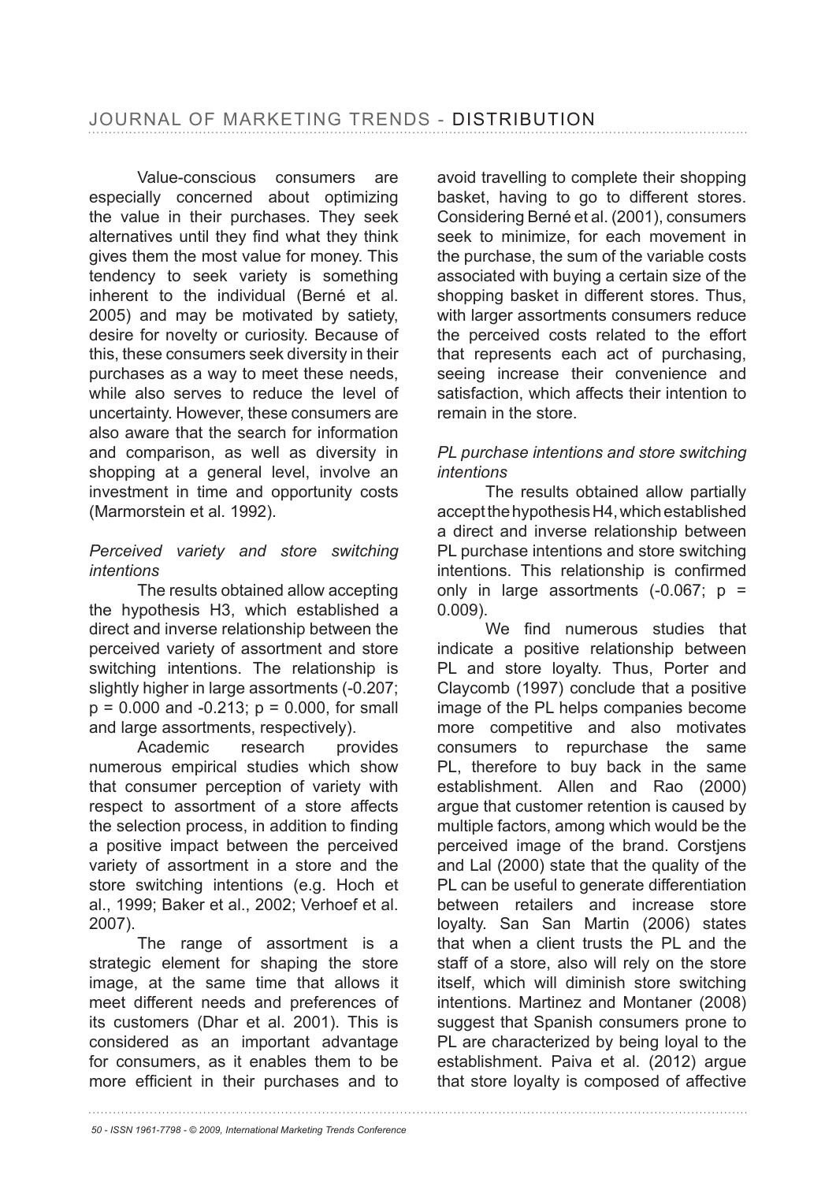Value-conscious consumers are especially concerned about optimizing the value in their purchases. They seek alternatives until they find what they think gives them the most value for money. This tendency to seek variety is something inherent to the individual (Berné et al. 2005) and may be motivated by satiety, desire for novelty or curiosity. Because of this, these consumers seek diversity in their purchases as a way to meet these needs, while also serves to reduce the level of uncertainty. However, these consumers are also aware that the search for information and comparison, as well as diversity in shopping at a general level, involve an investment in time and opportunity costs (Marmorstein et al. 1992).

## *Perceived variety and store switching intentions*

The results obtained allow accepting the hypothesis H3, which established a direct and inverse relationship between the perceived variety of assortment and store switching intentions. The relationship is slightly higher in large assortments (-0.207;  $p = 0.000$  and  $-0.213$ ;  $p = 0.000$ , for small and large assortments, respectively).

Academic research provides numerous empirical studies which show that consumer perception of variety with respect to assortment of a store affects the selection process, in addition to finding a positive impact between the perceived variety of assortment in a store and the store switching intentions (e.g. Hoch et al., 1999; Baker et al., 2002; Verhoef et al. 2007).

The range of assortment is a strategic element for shaping the store image, at the same time that allows it meet different needs and preferences of its customers (Dhar et al. 2001). This is considered as an important advantage for consumers, as it enables them to be more efficient in their purchases and to

avoid travelling to complete their shopping basket, having to go to different stores. Considering Berné et al. (2001), consumers seek to minimize, for each movement in the purchase, the sum of the variable costs associated with buying a certain size of the shopping basket in different stores. Thus, with larger assortments consumers reduce the perceived costs related to the effort that represents each act of purchasing, seeing increase their convenience and satisfaction, which affects their intention to remain in the store.

## *PL purchase intentions and store switching intentions*

The results obtained allow partially accept the hypothesis H4, which established a direct and inverse relationship between PL purchase intentions and store switching intentions. This relationship is confirmed only in large assortments  $(-0.067; p =$ 0.009).

We find numerous studies that indicate a positive relationship between PL and store loyalty. Thus, Porter and Claycomb (1997) conclude that a positive image of the PL helps companies become more competitive and also motivates consumers to repurchase the same PL, therefore to buy back in the same establishment. Allen and Rao (2000) argue that customer retention is caused by multiple factors, among which would be the perceived image of the brand. Corstjens and Lal (2000) state that the quality of the PL can be useful to generate differentiation between retailers and increase store loyalty. San San Martin (2006) states that when a client trusts the PL and the staff of a store, also will rely on the store itself, which will diminish store switching intentions. Martinez and Montaner (2008) suggest that Spanish consumers prone to PL are characterized by being loyal to the establishment. Paiva et al. (2012) argue that store loyalty is composed of affective

*50 - ISSN 1961-7798 - © 2009, International Marketing Trends Conference*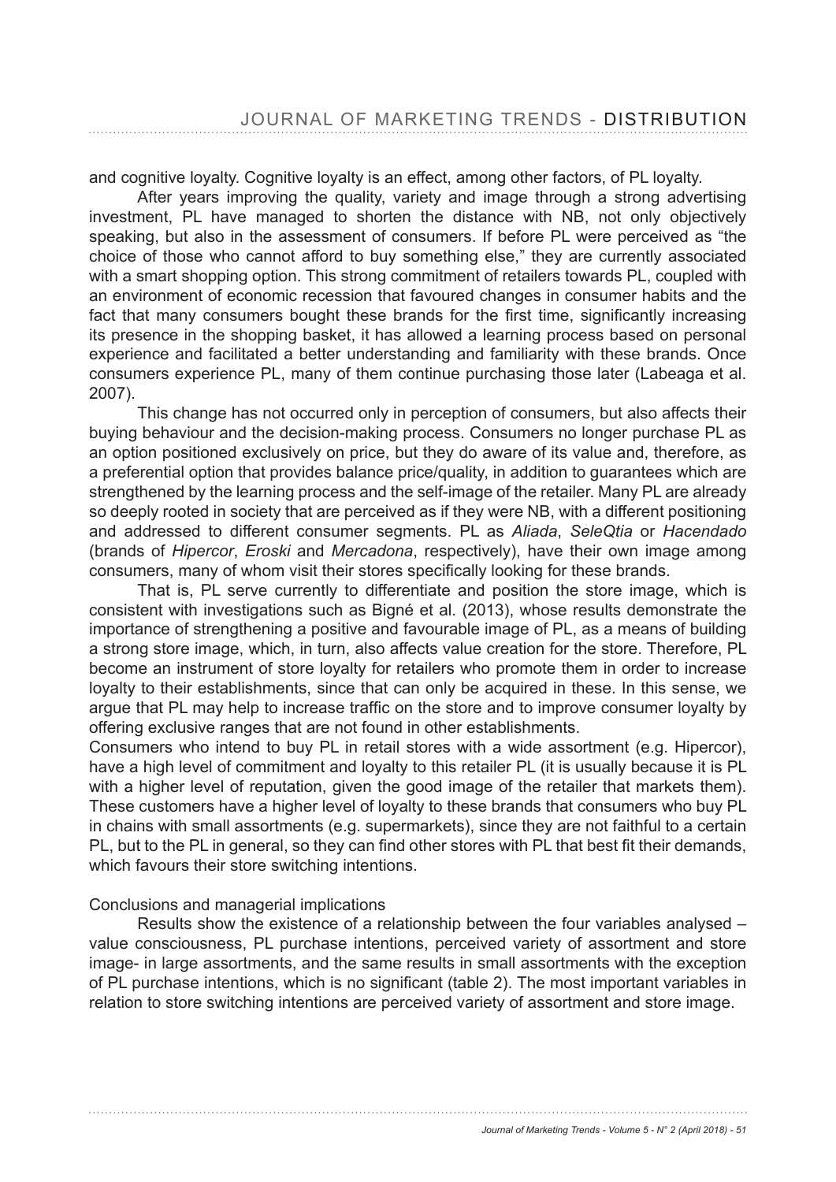and cognitive loyalty. Cognitive loyalty is an effect, among other factors, of PL loyalty.

After years improving the quality, variety and image through a strong advertising investment, PL have managed to shorten the distance with NB, not only objectively speaking, but also in the assessment of consumers. If before PL were perceived as "the choice of those who cannot afford to buy something else," they are currently associated with a smart shopping option. This strong commitment of retailers towards PL, coupled with an environment of economic recession that favoured changes in consumer habits and the fact that many consumers bought these brands for the first time, significantly increasing its presence in the shopping basket, it has allowed a learning process based on personal experience and facilitated a better understanding and familiarity with these brands. Once consumers experience PL, many of them continue purchasing those later (Labeaga et al.  $2007$ ).

This change has not occurred only in perception of consumers, but also affects their buying behaviour and the decision-making process. Consumers no longer purchase PL as an option positioned exclusively on price, but they do aware of its value and, therefore, as a preferential option that provides balance price/quality, in addition to guarantees which are strengthened by the learning process and the self-image of the retailer. Many PL are already so deeply rooted in society that are perceived as if they were NB, with a different positioning and addressed to different consumer segments. PL as *Aliada*, *SeleQtia* or *Hacendado* (brands of *Hipercor*, *Eroski* and *Mercadona*, respectively), have their own image among consumers, many of whom visit their stores specifically looking for these brands.

That is, PL serve currently to differentiate and position the store image, which is consistent with investigations such as Bigné et al. (2013), whose results demonstrate the importance of strengthening a positive and favourable image of PL, as a means of building a strong store image, which, in turn, also affects value creation for the store. Therefore, PL become an instrument of store loyalty for retailers who promote them in order to increase loyalty to their establishments, since that can only be acquired in these. In this sense, we argue that PL may help to increase traffic on the store and to improve consumer loyalty by offering exclusive ranges that are not found in other establishments.

Consumers who intend to buy PL in retail stores with a wide assortment (e.g. Hipercor), have a high level of commitment and loyalty to this retailer PL (it is usually because it is PL with a higher level of reputation, given the good image of the retailer that markets them). These customers have a higher level of loyalty to these brands that consumers who buy PL in chains with small assortments (e.g. supermarkets), since they are not faithful to a certain PL, but to the PL in general, so they can find other stores with PL that best fit their demands, which favours their store switching intentions.

#### Conclusions and managerial implications

Results show the existence of a relationship between the four variables analysed – value consciousness, PL purchase intentions, perceived variety of assortment and store image- in large assortments, and the same results in small assortments with the exception of PL purchase intentions, which is no significant (table 2). The most important variables in relation to store switching intentions are perceived variety of assortment and store image.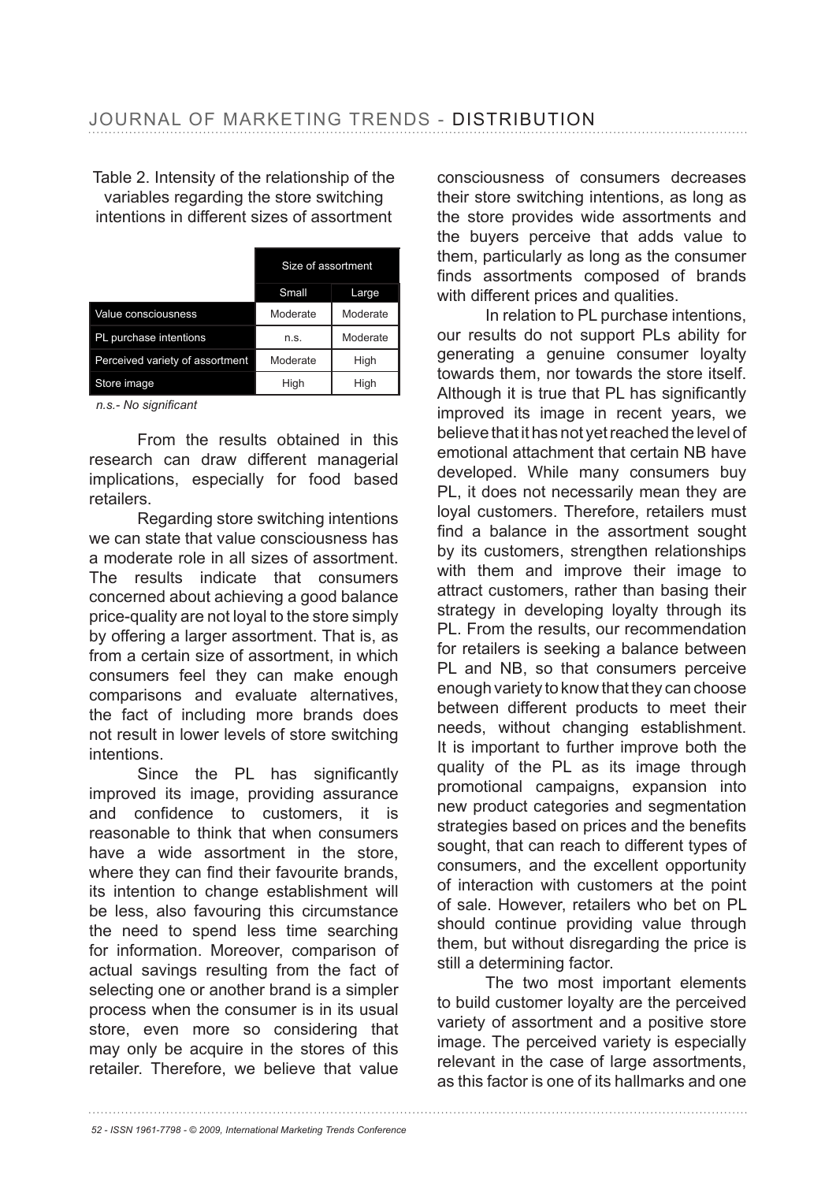Table 2. Intensity of the relationship of the variables regarding the store switching intentions in different sizes of assortment

|                                 | Size of assortment |          |
|---------------------------------|--------------------|----------|
|                                 | Small              | Large    |
| Value consciousness             | Moderate           | Moderate |
| PL purchase intentions          | n.s.               | Moderate |
| Perceived variety of assortment | Moderate           | High     |
| Store image                     | High               | High     |

n.s.- No significant

From the results obtained in this research can draw different managerial implications, especially for food based retailers.

Regarding store switching intentions we can state that value consciousness has a moderate role in all sizes of assortment. The results indicate that consumers concerned about achieving a good balance price-quality are not loyal to the store simply by offering a larger assortment. That is, as from a certain size of assortment, in which consumers feel they can make enough comparisons and evaluate alternatives, the fact of including more brands does not result in lower levels of store switching intentions.

Since the PL has significantly improved its image, providing assurance and confidence to customers, it is reasonable to think that when consumers have a wide assortment in the store, where they can find their favourite brands. its intention to change establishment will be less, also favouring this circumstance the need to spend less time searching for information. Moreover, comparison of actual savings resulting from the fact of selecting one or another brand is a simpler process when the consumer is in its usual store, even more so considering that may only be acquire in the stores of this retailer. Therefore, we believe that value

consciousness of consumers decreases their store switching intentions, as long as the store provides wide assortments and the buyers perceive that adds value to them, particularly as long as the consumer finds assortments composed of brands with different prices and qualities.

In relation to PL purchase intentions, our results do not support PLs ability for generating a genuine consumer loyalty towards them, nor towards the store itself. Although it is true that PL has significantly improved its image in recent years, we believe that it has not yet reached the level of emotional attachment that certain NB have developed. While many consumers buy PL, it does not necessarily mean they are loyal customers. Therefore, retailers must find a balance in the assortment sought by its customers, strengthen relationships with them and improve their image to attract customers, rather than basing their strategy in developing loyalty through its PL. From the results, our recommendation for retailers is seeking a balance between PL and NB, so that consumers perceive enough variety to know that they can choose between different products to meet their needs, without changing establishment. It is important to further improve both the quality of the PL as its image through promotional campaigns, expansion into new product categories and segmentation strategies based on prices and the benefits sought, that can reach to different types of consumers, and the excellent opportunity of interaction with customers at the point of sale. However, retailers who bet on PL should continue providing value through them, but without disregarding the price is still a determining factor.

The two most important elements to build customer loyalty are the perceived variety of assortment and a positive store image. The perceived variety is especially relevant in the case of large assortments, as this factor is one of its hallmarks and one

*52 - ISSN 1961-7798 - © 2009, International Marketing Trends Conference*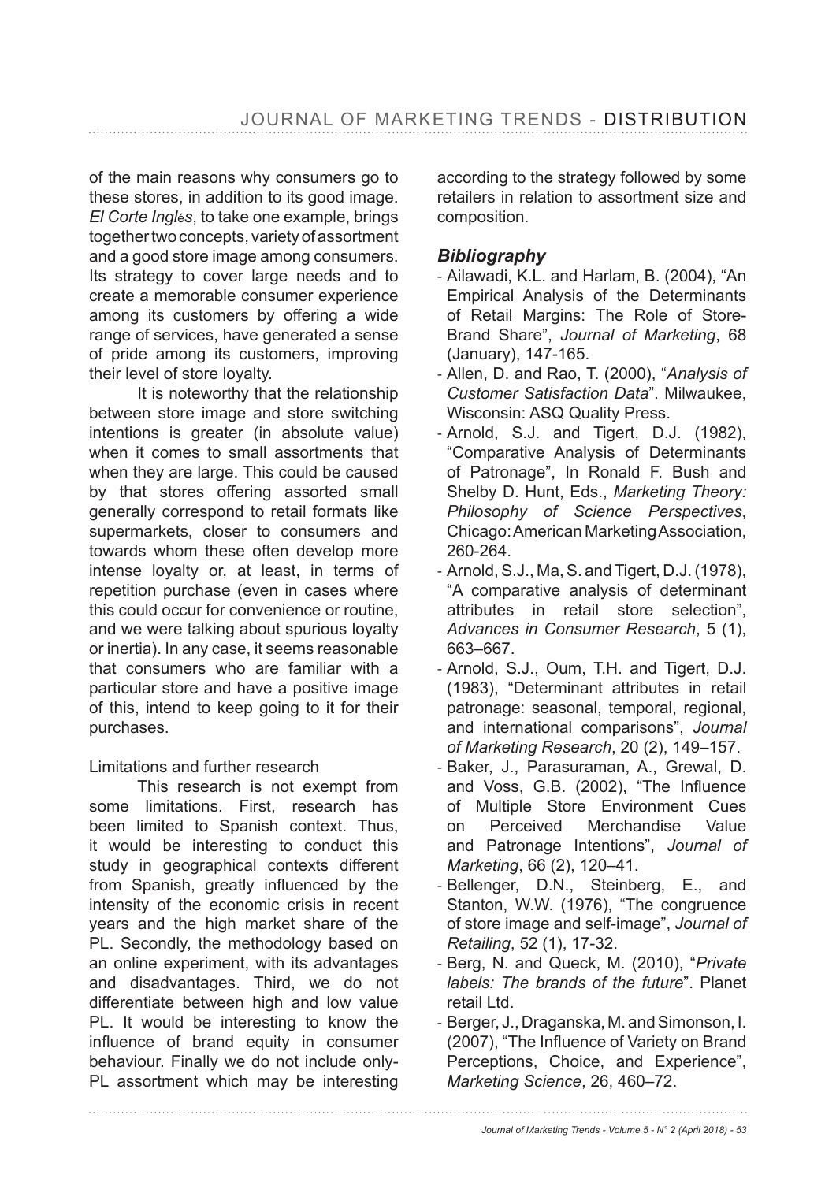of the main reasons why consumers go to these stores, in addition to its good image. *El Corte Ingl*é*s*, to take one example, brings together two concepts, variety of assortment and a good store image among consumers. Its strategy to cover large needs and to create a memorable consumer experience among its customers by offering a wide range of services, have generated a sense of pride among its customers, improving their level of store loyalty.

It is noteworthy that the relationship between store image and store switching intentions is greater (in absolute value) when it comes to small assortments that when they are large. This could be caused by that stores offering assorted small generally correspond to retail formats like supermarkets, closer to consumers and towards whom these often develop more intense loyalty or, at least, in terms of repetition purchase (even in cases where this could occur for convenience or routine, and we were talking about spurious loyalty or inertia). In any case, it seems reasonable that consumers who are familiar with a particular store and have a positive image of this, intend to keep going to it for their purchases.

## Limitations and further research

This research is not exempt from some limitations. First, research has been limited to Spanish context. Thus, it would be interesting to conduct this study in geographical contexts different from Spanish, greatly influenced by the intensity of the economic crisis in recent years and the high market share of the PL. Secondly, the methodology based on an online experiment, with its advantages and disadvantages. Third, we do not differentiate between high and low value PL. It would be interesting to know the influence of brand equity in consumer behaviour. Finally we do not include only-PL assortment which may be interesting

according to the strategy followed by some retailers in relation to assortment size and composition.

## *Bibliography*

- Ailawadi, K.L. and Harlam, B. (2004), "An Empirical Analysis of the Determinants of Retail Margins: The Role of Store-Brand Share", *Journal of Marketing*, 68 (January), 147-165.
- Allen, D. and Rao, T. (2000), "*Analysis of Customer Satisfaction Data*". Milwaukee, Wisconsin: ASQ Quality Press.
- Arnold, S.J. and Tigert, D.J. (1982), "Comparative Analysis of Determinants of Patronage", In Ronald F. Bush and Shelby D. Hunt, Eds., *Marketing Theory: Philosophy of Science Perspectives*, Chicago: American Marketing Association, 260-264.
- $-$  Arnold, S.J., Ma, S. and Tigert, D.J. (1978), "A comparative analysis of determinant attributes in retail store selection", *Advances in Consumer Research*, 5 (1), 663-667.
- Arnold, S.J., Oum, T.H. and Tigert, D.J. (1983), "Determinant attributes in retail patronage: seasonal, temporal, regional, and international comparisons", *Journal*  of Marketing Research, 20 (2), 149-157.
- Baker, J., Parasuraman, A., Grewal, D. and Voss, G.B. (2002), "The Influence of Multiple Store Environment Cues on Perceived Merchandise Value and Patronage Intentions", *Journal of Marketing*, 66 (2), 120–41.
- Bellenger, D.N., Steinberg, E., and Stanton, W.W. (1976), "The congruence of store image and self-image", *Journal of Retailing*
- Berg, N. and Queck, M. (2010), "*Private labels: The brands of the future*". Planet retail Ltd.
- Berger, J., Draganska, M. and Simonson, I. (2007), "The Influence of Variety on Brand Perceptions, Choice, and Experience", *Marketing Science*, 26, 460-72.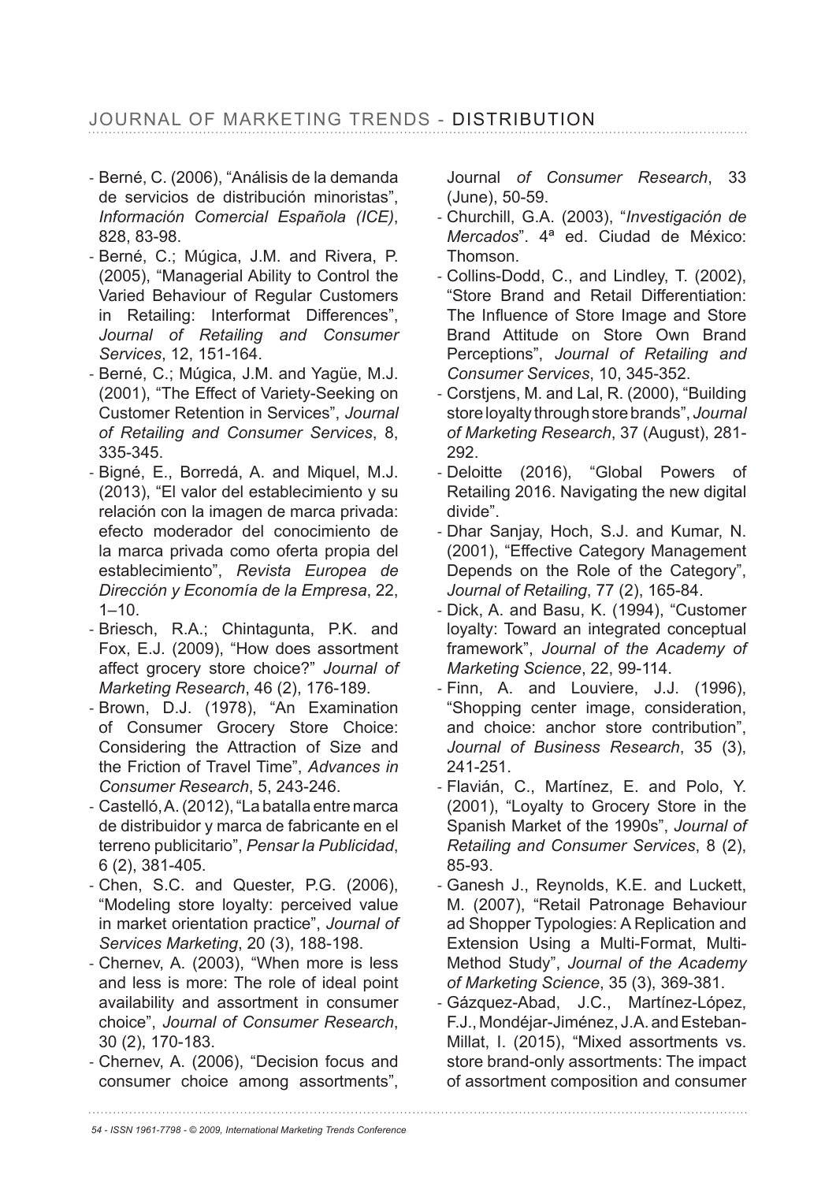# JOURNAL OF MARKETING TRENDS - DISTRIBUTION

- Berné, C. (2006), "Análisis de la demanda de servicios de distribución minoristas", *Información Comercial Española (ICE)*, 828, 83-98.
- Berné, C.; Múgica, J.M. and Rivera, P. (2005), "Managerial Ability to Control the Varied Behaviour of Regular Customers in Retailing: Interformat Differences", *Journal of Retailing and Consumer Services*, 12, 151-164.
- Berné, C.; Múgica, J.M. and Yagüe, M.J. (2001), "The Effect of Variety-Seeking on Customer Retention in Services", *Journal of Retailing and Consumer Services*, 8, 335-345.
- Bigné, E., Borredá, A. and Miquel, M.J. (2013), "El valor del establecimiento y su relación con la imagen de marca privada: efecto moderador del conocimiento de la marca privada como oferta propia del establecimiento", *Revista Europea de Dirección y Economía de la Empresa*, 22,  $1 - 10$ .
- Briesch, R.A.; Chintagunta, P.K. and Fox, E.J. (2009), "How does assortment affect grocery store choice?" Journal of *Marketing Research*
- Brown, D.J. (1978), "An Examination of Consumer Grocery Store Choice: Considering the Attraction of Size and the Friction of Travel Time", *Advances in Consumer Research*, 5, 243-246.
- Castelló, A. (2012), "La batalla entre marca de distribuidor y marca de fabricante en el terreno publicitario", *Pensar la Publicidad*, 6 (2), 381-405.
- Chen, S.C. and Quester, P.G. (2006), "Modeling store loyalty: perceived value in market orientation practice", *Journal of Services Marketing*, 20 (3), 188-198.
- Chernev, A. (2003), "When more is less and less is more: The role of ideal point availability and assortment in consumer choice", *Journal of Consumer Research*, 30 (2), 170-183.
- Chernev, A. (2006), "Decision focus and consumer choice among assortments",

Journal *of Consumer Research*, 33 (June), 50-59.

- Churchill, G.A. (2003), "*Investigación de Mercados*". 4ª ed. Ciudad de México: Thomson.
- Collins-Dodd, C., and Lindley, T. (2002), "Store Brand and Retail Differentiation: The Influence of Store Image and Store Brand Attitude on Store Own Brand Perceptions", *Journal of Retailing and Consumer Services*, 10, 345-352.
- Corstjens, M. and Lal, R. (2000), "Building store loyalty through store brands", *Journal*  of Marketing Research, 37 (August), 281-292.
- Deloitte (2016), "Global Powers of Retailing 2016. Navigating the new digital divide".
- Dhar Sanjay, Hoch, S.J. and Kumar, N. (2001), "Effective Category Management Depends on the Role of the Category", *Journal of Retailing*
- Dick, A. and Basu, K. (1994), "Customer loyalty: Toward an integrated conceptual framework", *Journal of the Academy of Marketing Science*, 22, 99-114.
- Finn, A. and Louviere, J.J. (1996), "Shopping center image, consideration, and choice: anchor store contribution", *Journal of Business Research*, 35 (3), 241-251.
- Flavián, C., Martínez, E. and Polo, Y. (2001), "Loyalty to Grocery Store in the Spanish Market of the 1990s", *Journal of Retailing and Consumer Services*, 8 (2), 85-93.
- Ganesh J., Reynolds, K.E. and Luckett, M. (2007), "Retail Patronage Behaviour ad Shopper Typologies: A Replication and Extension Using a Multi-Format, Multi-Method Study", *Journal of the Academy of Marketing Science*, 35 (3), 369-381.
- Gázquez-Abad, J.C., Martínez-López, F.J., Mondéjar-Jiménez, J.A. and Esteban-Millat, I. (2015), "Mixed assortments vs. store brand-only assortments: The impact of assortment composition and consumer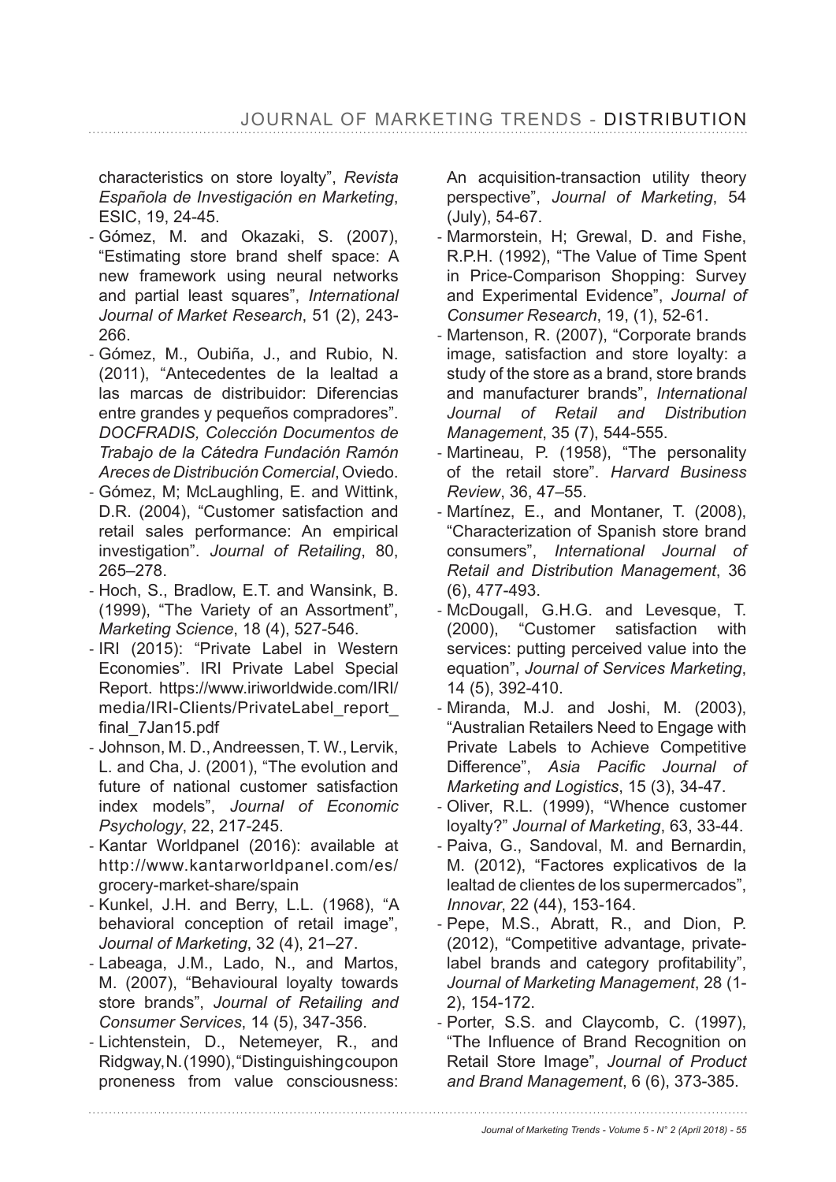characteristics on store loyalty", *Revista Española de Investigación en Marketing*, ESIC, 19, 24-45.

- Gómez, M. and Okazaki, S. (2007), "Estimating store brand shelf space: A new framework using neural networks and partial least squares", *International Journal of Market Research*, 51 (2), 243- 266.
- Gómez, M., Oubiña, J., and Rubio, N. (2011), "Antecedentes de la lealtad a las marcas de distribuidor: Diferencias entre grandes y pequeños compradores". *DOCFRADIS, Colección Documentos de Trabajo de la Cátedra Fundación Ramón Areces de Distribución Comercial*, Oviedo.
- Gómez, M; McLaughling, E. and Wittink, D.R. (2004), "Customer satisfaction and retail sales performance: An empirical investigation". *Journal of Retailing*, 80, 265-278.
- Hoch, S., Bradlow, E.T. and Wansink, B. (1999), "The Variety of an Assortment", *Marketing Science*
- IRI (2015): "Private Label in Western Economies". IRI Private Label Special Report. https://www.iriworldwide.com/IRI/ media/IRI-Clients/PrivateLabel\_report\_ final 7Jan15.pdf
- Johnson, M. D., Andreessen, T. W., Lervik, L. and Cha, J. (2001), "The evolution and future of national customer satisfaction index models", *Journal of Economic Psychology*
- Kantar Worldpanel (2016): available at http://www.kantarworldpanel.com/es/ grocery-market-share/spain
- Kunkel, J.H. and Berry, L.L. (1968), "A behavioral conception of retail image", *Journal of Marketing*, 32 (4), 21-27.
- Labeaga, J.M., Lado, N., and Martos, M. (2007), "Behavioural loyalty towards store brands", *Journal of Retailing and Consumer Services*
- Lichtenstein, D., Netemeyer, R., and Ridgway, N. (1990), "Distinguishing coupon proneness from value consciousness:

An acquisition-transaction utility theory perspective", *Journal of Marketing*, 54 (July), 54-67.

- Marmorstein, H; Grewal, D. and Fishe, R.P.H. (1992), "The Value of Time Spent in Price-Comparison Shopping: Survey and Experimental Evidence", *Journal of Consumer Research*, 19, (1), 52-61.
- Martenson, R. (2007), "Corporate brands image, satisfaction and store loyalty: a study of the store as a brand, store brands and manufacturer brands", *International Journal of Retail and Distribution Management*
- Martineau, P. (1958), "The personality of the retail store". *Harvard Business Review*, 36, 47–55.
- Martínez, E., and Montaner, T. (2008), "Characterization of Spanish store brand consumers", *International Journal of Retail and Distribution Management*, 36  $(6)$ , 477-493.
- McDougall, G.H.G. and Levesque, T. (2000), "Customer satisfaction with services: putting perceived value into the equation", *Journal of Services Marketing*, 14 (5), 392-410.
- Miranda, M.J. and Joshi, M. (2003), "Australian Retailers Need to Engage with Private Labels to Achieve Competitive Difference", Asia Pacific Journal of *Marketing and Logistics*
- Oliver, R.L. (1999), "Whence customer loyalty?" Journal of Marketing, 63, 33-44.
- Paiva, G., Sandoval, M. and Bernardin, M. (2012), "Factores explicativos de la lealtad de clientes de los supermercados", *Innovar*, 22 (44), 153-164.
- Pepe, M.S., Abratt, R., and Dion, P. (2012), "Competitive advantage, privatelabel brands and category profitability", *Journal of Marketing Management*, 28 (1- 2), 154-172.
- Porter, S.S. and Claycomb, C. (1997), "The Influence of Brand Recognition on Retail Store Image", *Journal of Product and Brand Management*